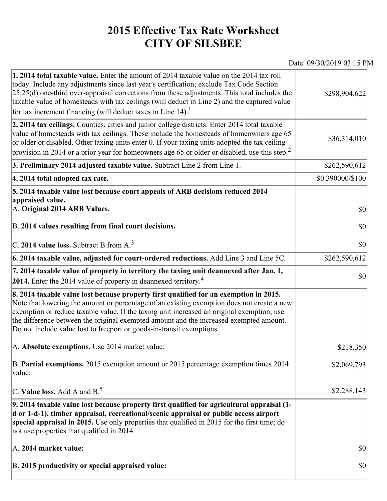## **2015 Effective Tax Rate Worksheet CITY OF SILSBEE**

## Date: 09/30/2019 03:15 PM

| 1. 2014 total taxable value. Enter the amount of 2014 taxable value on the 2014 tax roll<br>today. Include any adjustments since last year's certification; exclude Tax Code Section<br>$[25.25(d)$ one-third over-appraisal corrections from these adjustments. This total includes the<br>taxable value of homesteads with tax ceilings (will deduct in Line 2) and the captured value<br>for tax increment financing (will deduct taxes in Line $14$ ). <sup>1</sup> | \$298,904,622       |
|-------------------------------------------------------------------------------------------------------------------------------------------------------------------------------------------------------------------------------------------------------------------------------------------------------------------------------------------------------------------------------------------------------------------------------------------------------------------------|---------------------|
| 2. 2014 tax ceilings. Counties, cities and junior college districts. Enter 2014 total taxable<br>value of homesteads with tax ceilings. These include the homesteads of homeowners age 65<br>or older or disabled. Other taxing units enter 0. If your taxing units adopted the tax ceiling<br>provision in 2014 or a prior year for homeowners age 65 or older or disabled, use this step. <sup>2</sup>                                                                | \$36,314,010        |
| 3. Preliminary 2014 adjusted taxable value. Subtract Line 2 from Line 1.                                                                                                                                                                                                                                                                                                                                                                                                | \$262,590,612       |
| 4. 2014 total adopted tax rate.                                                                                                                                                                                                                                                                                                                                                                                                                                         | \$0.390000/\$100    |
| 5. 2014 taxable value lost because court appeals of ARB decisions reduced 2014<br>appraised value.<br>A. Original 2014 ARB Values.<br>B. 2014 values resulting from final court decisions.                                                                                                                                                                                                                                                                              | $ 10\rangle$<br> 30 |
| C. 2014 value loss. Subtract B from $A3$                                                                                                                                                                                                                                                                                                                                                                                                                                | \$0                 |
| 6. 2014 taxable value, adjusted for court-ordered reductions. Add Line 3 and Line 5C.                                                                                                                                                                                                                                                                                                                                                                                   | \$262,590,612       |
| 7. 2014 taxable value of property in territory the taxing unit deannexed after Jan. 1,<br>2014. Enter the 2014 value of property in deannexed territory. <sup>4</sup>                                                                                                                                                                                                                                                                                                   | $ 10\rangle$        |
| 8. 2014 taxable value lost because property first qualified for an exemption in 2015.<br>Note that lowering the amount or percentage of an existing exemption does not create a new<br>exemption or reduce taxable value. If the taxing unit increased an original exemption, use<br>the difference between the original exempted amount and the increased exempted amount.<br>Do not include value lost to freeport or goods-in-transit exemptions.                    |                     |
| A. Absolute exemptions. Use 2014 market value:                                                                                                                                                                                                                                                                                                                                                                                                                          | \$218,350           |
| B. Partial exemptions. 2015 exemption amount or 2015 percentage exemption times 2014<br>value:                                                                                                                                                                                                                                                                                                                                                                          | \$2,069,793         |
| C. Value loss. Add A and $B^5$ .                                                                                                                                                                                                                                                                                                                                                                                                                                        | \$2,288,143         |
| 9. 2014 taxable value lost because property first qualified for agricultural appraisal (1-<br>d or 1-d-1), timber appraisal, recreational/scenic appraisal or public access airport<br>special appraisal in 2015. Use only properties that qualified in 2015 for the first time; do<br>not use properties that qualified in 2014.                                                                                                                                       |                     |
| A. 2014 market value:                                                                                                                                                                                                                                                                                                                                                                                                                                                   | $ 10\rangle$        |
| B. 2015 productivity or special appraised value:                                                                                                                                                                                                                                                                                                                                                                                                                        | $ 10\rangle$        |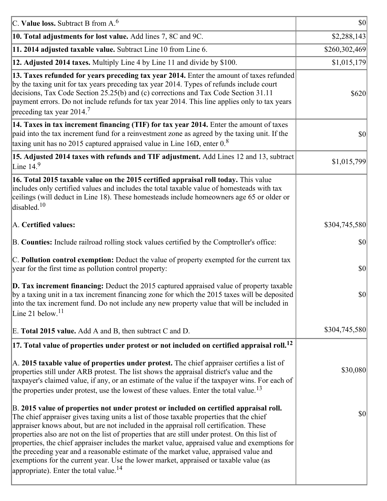| C. Value loss. Subtract B from $A6$                                                                                                                                                                                                                                                                                                                                                                                                                                                                                                                                                                                                                                                                                      | $ 10\rangle$  |
|--------------------------------------------------------------------------------------------------------------------------------------------------------------------------------------------------------------------------------------------------------------------------------------------------------------------------------------------------------------------------------------------------------------------------------------------------------------------------------------------------------------------------------------------------------------------------------------------------------------------------------------------------------------------------------------------------------------------------|---------------|
| 10. Total adjustments for lost value. Add lines 7, 8C and 9C.                                                                                                                                                                                                                                                                                                                                                                                                                                                                                                                                                                                                                                                            | \$2,288,143   |
| 11. 2014 adjusted taxable value. Subtract Line 10 from Line 6.                                                                                                                                                                                                                                                                                                                                                                                                                                                                                                                                                                                                                                                           | \$260,302,469 |
| 12. Adjusted 2014 taxes. Multiply Line 4 by Line 11 and divide by \$100.                                                                                                                                                                                                                                                                                                                                                                                                                                                                                                                                                                                                                                                 | \$1,015,179   |
| 13. Taxes refunded for years preceding tax year 2014. Enter the amount of taxes refunded<br>by the taxing unit for tax years preceding tax year 2014. Types of refunds include court<br>decisions, Tax Code Section 25.25(b) and (c) corrections and Tax Code Section 31.11<br>payment errors. Do not include refunds for tax year 2014. This line applies only to tax years<br>preceding tax year 2014. <sup>7</sup>                                                                                                                                                                                                                                                                                                    | \$620         |
| 14. Taxes in tax increment financing (TIF) for tax year 2014. Enter the amount of taxes<br>paid into the tax increment fund for a reinvestment zone as agreed by the taxing unit. If the<br>taxing unit has no 2015 captured appraised value in Line 16D, enter $0.8$                                                                                                                                                                                                                                                                                                                                                                                                                                                    | 30            |
| 15. Adjusted 2014 taxes with refunds and TIF adjustment. Add Lines 12 and 13, subtract<br>Line $149$                                                                                                                                                                                                                                                                                                                                                                                                                                                                                                                                                                                                                     | \$1,015,799   |
| 16. Total 2015 taxable value on the 2015 certified appraisal roll today. This value<br>includes only certified values and includes the total taxable value of homesteads with tax<br>ceilings (will deduct in Line 18). These homesteads include homeowners age 65 or older or<br>disabled. <sup>10</sup>                                                                                                                                                                                                                                                                                                                                                                                                                |               |
| A. Certified values:                                                                                                                                                                                                                                                                                                                                                                                                                                                                                                                                                                                                                                                                                                     | \$304,745,580 |
| B. Counties: Include railroad rolling stock values certified by the Comptroller's office:                                                                                                                                                                                                                                                                                                                                                                                                                                                                                                                                                                                                                                | \$0           |
| C. Pollution control exemption: Deduct the value of property exempted for the current tax<br>year for the first time as pollution control property:                                                                                                                                                                                                                                                                                                                                                                                                                                                                                                                                                                      | $ 10\rangle$  |
| $\vert$ D. Tax increment financing: Deduct the 2015 captured appraised value of property taxable<br>by a taxing unit in a tax increment financing zone for which the 2015 taxes will be deposited<br>into the tax increment fund. Do not include any new property value that will be included in<br>Line 21 below. <sup>11</sup>                                                                                                                                                                                                                                                                                                                                                                                         | \$0           |
| E. Total 2015 value. Add A and B, then subtract C and D.                                                                                                                                                                                                                                                                                                                                                                                                                                                                                                                                                                                                                                                                 | \$304,745,580 |
| $ 17$ . Total value of properties under protest or not included on certified appraisal roll. <sup>12</sup>                                                                                                                                                                                                                                                                                                                                                                                                                                                                                                                                                                                                               |               |
| A. 2015 taxable value of properties under protest. The chief appraiser certifies a list of<br>properties still under ARB protest. The list shows the appraisal district's value and the<br>taxpayer's claimed value, if any, or an estimate of the value if the taxpayer wins. For each of<br>the properties under protest, use the lowest of these values. Enter the total value. <sup>13</sup>                                                                                                                                                                                                                                                                                                                         | \$30,080      |
| B. 2015 value of properties not under protest or included on certified appraisal roll.<br>The chief appraiser gives taxing units a list of those taxable properties that the chief<br>appraiser knows about, but are not included in the appraisal roll certification. These<br>properties also are not on the list of properties that are still under protest. On this list of<br>properties, the chief appraiser includes the market value, appraised value and exemptions for<br>the preceding year and a reasonable estimate of the market value, appraised value and<br>exemptions for the current year. Use the lower market, appraised or taxable value (as<br>appropriate). Enter the total value. <sup>14</sup> | \$0           |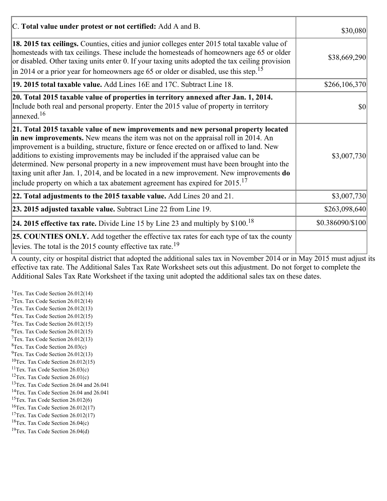| C. Total value under protest or not certified: Add A and B.                                                                                                                                                                                                                                                                                                                                                                                                                                                                                                                                                                                  | \$30,080         |
|----------------------------------------------------------------------------------------------------------------------------------------------------------------------------------------------------------------------------------------------------------------------------------------------------------------------------------------------------------------------------------------------------------------------------------------------------------------------------------------------------------------------------------------------------------------------------------------------------------------------------------------------|------------------|
| 18. 2015 tax ceilings. Counties, cities and junior colleges enter 2015 total taxable value of<br>homesteads with tax ceilings. These include the homesteads of homeowners age 65 or older<br>or disabled. Other taxing units enter 0. If your taxing units adopted the tax ceiling provision<br>$\vert$ in 2014 or a prior year for homeowners age 65 or older or disabled, use this step. <sup>15</sup>                                                                                                                                                                                                                                     | \$38,669,290     |
| 19. 2015 total taxable value. Add Lines 16E and 17C. Subtract Line 18.                                                                                                                                                                                                                                                                                                                                                                                                                                                                                                                                                                       | \$266,106,370    |
| 20. Total 2015 taxable value of properties in territory annexed after Jan. 1, 2014.<br>Include both real and personal property. Enter the 2015 value of property in territory<br>$\alpha$ annexed. <sup>16</sup>                                                                                                                                                                                                                                                                                                                                                                                                                             | <b>\$0</b>       |
| 21. Total 2015 taxable value of new improvements and new personal property located<br>in new improvements. New means the item was not on the appraisal roll in 2014. An<br>improvement is a building, structure, fixture or fence erected on or affixed to land. New<br>additions to existing improvements may be included if the appraised value can be<br>determined. New personal property in a new improvement must have been brought into the<br>taxing unit after Jan. 1, 2014, and be located in a new improvement. New improvements do<br>include property on which a tax abatement agreement has expired for $2015$ . <sup>17</sup> | \$3,007,730      |
| 22. Total adjustments to the 2015 taxable value. Add Lines 20 and 21.                                                                                                                                                                                                                                                                                                                                                                                                                                                                                                                                                                        | \$3,007,730      |
| 23. 2015 adjusted taxable value. Subtract Line 22 from Line 19.                                                                                                                                                                                                                                                                                                                                                                                                                                                                                                                                                                              | \$263,098,640    |
| <b>24. 2015 effective tax rate.</b> Divide Line 15 by Line 23 and multiply by $$100$ . <sup>18</sup>                                                                                                                                                                                                                                                                                                                                                                                                                                                                                                                                         | \$0.386090/\$100 |
| <b>25. COUNTIES ONLY.</b> Add together the effective tax rates for each type of tax the county<br>levies. The total is the 2015 county effective tax rate. <sup>19</sup>                                                                                                                                                                                                                                                                                                                                                                                                                                                                     |                  |

A county, city or hospital district that adopted the additional sales tax in November 2014 or in May 2015 must adjust its effective tax rate. The Additional Sales Tax Rate Worksheet sets out this adjustment. Do not forget to complete the Additional Sales Tax Rate Worksheet if the taxing unit adopted the additional sales tax on these dates.

<sup>1</sup>Tex. Tax Code Section  $26.012(14)$ <sup>2</sup>Tex. Tax Code Section  $26.012(14)$  $3$ Tex. Tax Code Section 26.012(13)  ${}^{4}$ Tex. Tax Code Section 26.012(15)  $5$ Tex. Tax Code Section 26.012(15)  ${}^{6}$ Tex. Tax Code Section 26.012(15)  $7$ Tex. Tax Code Section 26.012(13)  ${}^{8}$ Tex. Tax Code Section 26.03(c)  $^{9}$ Tex. Tax Code Section 26.012(13)  $10$ Tex. Tax Code Section 26.012(15) <sup>11</sup>Tex. Tax Code Section  $26.03(c)$ <sup>12</sup>Tex. Tax Code Section  $26.01(c)$ <sup>13</sup>Tex. Tax Code Section 26.04 and 26.041 <sup>14</sup>Tex. Tax Code Section 26.04 and 26.041 <sup>15</sup>Tex. Tax Code Section  $26.012(6)$  $16$ Tex. Tax Code Section 26.012(17) <sup>17</sup>Tex. Tax Code Section  $26.012(17)$ <sup>18</sup>Tex. Tax Code Section 26.04(c) <sup>19</sup>Tex. Tax Code Section 26.04(d)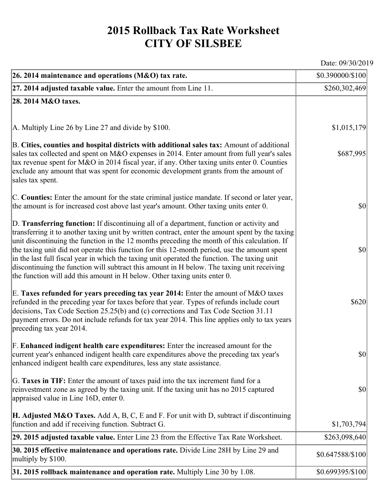## **2015 Rollback Tax Rate Worksheet CITY OF SILSBEE**

Date: 09/30/2019

| 26. 2014 maintenance and operations (M&O) tax rate.                                                                                                                                                                                                                                                                                                                                                                                                                                                                                                                                                                                                                     | \$0.390000/\$100 |
|-------------------------------------------------------------------------------------------------------------------------------------------------------------------------------------------------------------------------------------------------------------------------------------------------------------------------------------------------------------------------------------------------------------------------------------------------------------------------------------------------------------------------------------------------------------------------------------------------------------------------------------------------------------------------|------------------|
| $ 27.2014$ adjusted taxable value. Enter the amount from Line 11.                                                                                                                                                                                                                                                                                                                                                                                                                                                                                                                                                                                                       | \$260,302,469    |
| 28. 2014 M&O taxes.                                                                                                                                                                                                                                                                                                                                                                                                                                                                                                                                                                                                                                                     |                  |
|                                                                                                                                                                                                                                                                                                                                                                                                                                                                                                                                                                                                                                                                         |                  |
| A. Multiply Line 26 by Line 27 and divide by \$100.                                                                                                                                                                                                                                                                                                                                                                                                                                                                                                                                                                                                                     | \$1,015,179      |
| B. Cities, counties and hospital districts with additional sales tax: Amount of additional<br>sales tax collected and spent on M&O expenses in 2014. Enter amount from full year's sales<br>tax revenue spent for M&O in 2014 fiscal year, if any. Other taxing units enter 0. Counties<br>exclude any amount that was spent for economic development grants from the amount of<br>sales tax spent.                                                                                                                                                                                                                                                                     | \$687,995        |
| C. Counties: Enter the amount for the state criminal justice mandate. If second or later year,<br>the amount is for increased cost above last year's amount. Other taxing units enter 0.                                                                                                                                                                                                                                                                                                                                                                                                                                                                                | $ 10\rangle$     |
| D. Transferring function: If discontinuing all of a department, function or activity and<br>transferring it to another taxing unit by written contract, enter the amount spent by the taxing<br>unit discontinuing the function in the 12 months preceding the month of this calculation. If<br>the taxing unit did not operate this function for this 12-month period, use the amount spent<br>in the last full fiscal year in which the taxing unit operated the function. The taxing unit<br>discontinuing the function will subtract this amount in H below. The taxing unit receiving<br>the function will add this amount in H below. Other taxing units enter 0. | $ 10\rangle$     |
| E. Taxes refunded for years preceding tax year 2014: Enter the amount of M&O taxes<br>refunded in the preceding year for taxes before that year. Types of refunds include court<br>decisions, Tax Code Section 25.25(b) and (c) corrections and Tax Code Section 31.11<br>payment errors. Do not include refunds for tax year 2014. This line applies only to tax years<br>preceding tax year 2014.                                                                                                                                                                                                                                                                     | \$620            |
| F. Enhanced indigent health care expenditures: Enter the increased amount for the<br>current year's enhanced indigent health care expenditures above the preceding tax year's<br>enhanced indigent health care expenditures, less any state assistance.                                                                                                                                                                                                                                                                                                                                                                                                                 | \$0              |
| G. Taxes in TIF: Enter the amount of taxes paid into the tax increment fund for a<br>reinvestment zone as agreed by the taxing unit. If the taxing unit has no 2015 captured<br>appraised value in Line 16D, enter 0.                                                                                                                                                                                                                                                                                                                                                                                                                                                   | $ 10\rangle$     |
| <b>H. Adjusted M&amp;O Taxes.</b> Add A, B, C, E and F. For unit with D, subtract if discontinuing<br>function and add if receiving function. Subtract G.                                                                                                                                                                                                                                                                                                                                                                                                                                                                                                               | \$1,703,794      |
| 29. 2015 adjusted taxable value. Enter Line 23 from the Effective Tax Rate Worksheet.                                                                                                                                                                                                                                                                                                                                                                                                                                                                                                                                                                                   | \$263,098,640    |
| 30. 2015 effective maintenance and operations rate. Divide Line 28H by Line 29 and<br>multiply by \$100.                                                                                                                                                                                                                                                                                                                                                                                                                                                                                                                                                                | \$0.647588/\$100 |
| $31.2015$ rollback maintenance and operation rate. Multiply Line 30 by 1.08.                                                                                                                                                                                                                                                                                                                                                                                                                                                                                                                                                                                            | \$0.699395/\$100 |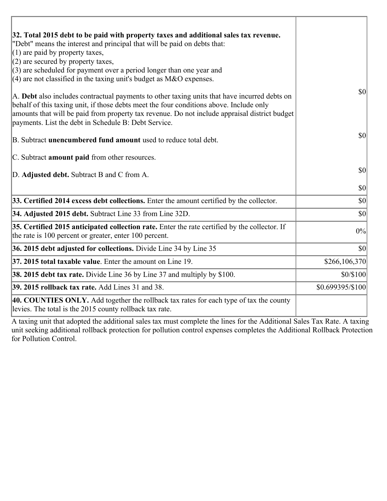| 32. Total 2015 debt to be paid with property taxes and additional sales tax revenue.                                                                                                    |                  |
|-----------------------------------------------------------------------------------------------------------------------------------------------------------------------------------------|------------------|
| "Debt" means the interest and principal that will be paid on debts that:                                                                                                                |                  |
| $(1)$ are paid by property taxes,                                                                                                                                                       |                  |
| $(2)$ are secured by property taxes,<br>$(3)$ are scheduled for payment over a period longer than one year and                                                                          |                  |
| $(4)$ are not classified in the taxing unit's budget as M&O expenses.                                                                                                                   |                  |
| A. Debt also includes contractual payments to other taxing units that have incurred debts on<br>behalf of this taxing unit, if those debts meet the four conditions above. Include only | 30               |
| amounts that will be paid from property tax revenue. Do not include appraisal district budget<br>payments. List the debt in Schedule B: Debt Service.                                   |                  |
| B. Subtract <b>unencumbered fund amount</b> used to reduce total debt.                                                                                                                  | \$0              |
| C. Subtract <b>amount paid</b> from other resources.                                                                                                                                    |                  |
| D. Adjusted debt. Subtract B and C from A.                                                                                                                                              | 30               |
|                                                                                                                                                                                         | $ 10\rangle$     |
| 33. Certified 2014 excess debt collections. Enter the amount certified by the collector.                                                                                                | \$0              |
| 34. Adjusted 2015 debt. Subtract Line 33 from Line 32D.                                                                                                                                 | \$0              |
| 35. Certified 2015 anticipated collection rate. Enter the rate certified by the collector. If<br>the rate is 100 percent or greater, enter 100 percent.                                 | 0%               |
| 36. 2015 debt adjusted for collections. Divide Line 34 by Line 35                                                                                                                       | \$0              |
| 37. 2015 total taxable value. Enter the amount on Line 19.                                                                                                                              | \$266, 106, 370] |
| <b>38. 2015 debt tax rate.</b> Divide Line 36 by Line 37 and multiply by \$100.                                                                                                         | \$0/\$100        |
| 39. 2015 rollback tax rate. Add Lines 31 and 38.                                                                                                                                        | \$0.699395/\$100 |
| 40. COUNTIES ONLY. Add together the rollback tax rates for each type of tax the county<br>levies. The total is the 2015 county rollback tax rate.                                       |                  |

Ï

A taxing unit that adopted the additional sales tax must complete the lines for the Additional Sales Tax Rate. A taxing unit seeking additional rollback protection for pollution control expenses completes the Additional Rollback Protection for Pollution Control.